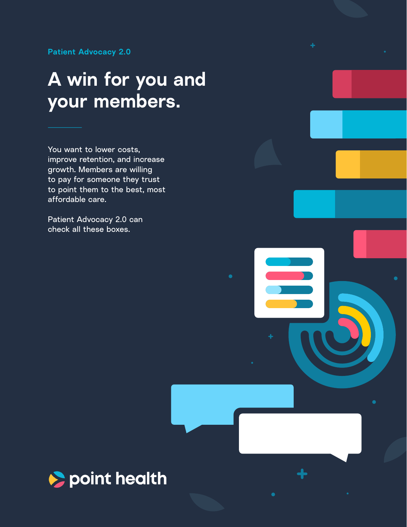**Patient Advocacy 2.0**

# **A win for you and your members.**

You want to lower costs, improve retention, and increase growth. Members are willing to pay for someone they trust to point them to the best, most affordable care.

Patient Advocacy 2.0 can check all these boxes.

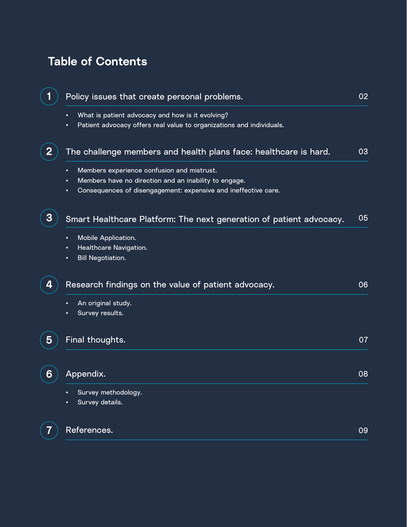## **Table of Contents**

| 1              | Policy issues that create personal problems.                                                                                                                                    | 02 |
|----------------|---------------------------------------------------------------------------------------------------------------------------------------------------------------------------------|----|
|                | What is patient advocacy and how is it evolving?<br>Patient advocacy offers real value to organizations and individuals.                                                        |    |
| $\overline{2}$ | The challenge members and health plans face: healthcare is hard.                                                                                                                | 03 |
|                | Members experience confusion and mistrust.<br>٠<br>Members have no direction and an inability to engage.<br>Consequences of disengagement: expensive and ineffective care.<br>٠ |    |
| 3              | Smart Healthcare Platform: The next generation of patient advocacy.                                                                                                             | 05 |
|                | Mobile Application.<br>Healthcare Navigation.<br><b>Bill Negotiation.</b><br>٠                                                                                                  |    |
| 4              | Research findings on the value of patient advocacy.                                                                                                                             | 06 |
|                | An original study.<br>Survey results.                                                                                                                                           |    |
| 5              | Final thoughts.                                                                                                                                                                 | 07 |
| 6              | Appendix.                                                                                                                                                                       | 08 |
|                | Survey methodology.<br>Survey details.                                                                                                                                          |    |
| 7              | References.                                                                                                                                                                     | 09 |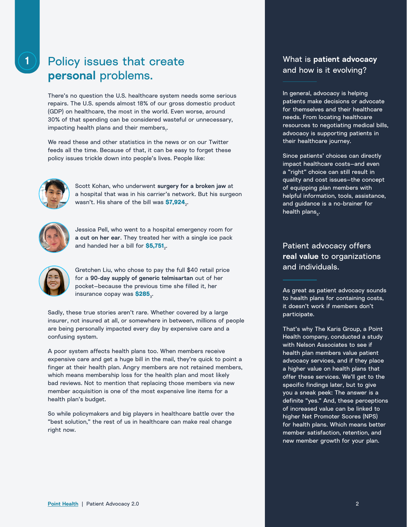### Policy issues that create **personal** problems.

There's no question the U.S. healthcare system needs some serious repairs. The U.S. spends almost 18% of our gross domestic product (GDP) on healthcare, the most in the world. Even worse, around 30% of that spending can be considered wasteful or unnecessary, impacting health plans and their members $_{\text{i}}$ .

We read these and other statistics in the news or on our Twitter feeds all the time. Because of that, it can be easy to forget these policy issues trickle down into people's lives. People like:



Scott Kohan, who underwent **surgery for a broken jaw** at a hospital that was in his carrier's network. But his surgeon wasn't. His share of the bill was \$7,924.



Jessica Pell, who went to a hospital emergency room for **a cut on her ear**. They treated her with a single ice pack and handed her a bill for \$5,751.



Gretchen Liu, who chose to pay the full \$40 retail price for a **90-day supply of generic telmisartan** out of her pocket—because the previous time she filled it, her insurance copay was \$285<sub>2</sub>.

Sadly, these true stories aren't rare. Whether covered by a large insurer, not insured at all, or somewhere in between, millions of people are being personally impacted every day by expensive care and a confusing system.

A poor system affects health plans too. When members receive expensive care and get a huge bill in the mail, they're quick to point a finger at their health plan. Angry members are not retained members, which means membership loss for the health plan and most likely bad reviews. Not to mention that replacing those members via new member acquisition is one of the most expensive line items for a health plan's budget.

So while policymakers and big players in healthcare battle over the "best solution," the rest of us in healthcare can make real change right now.

### What is **patient advocacy** and how is it evolving?

In general, advocacy is helping patients make decisions or advocate for themselves and their healthcare needs. From locating healthcare resources to negotiating medical bills, advocacy is supporting patients in their healthcare journey.

Since patients' choices can directly impact healthcare costs—and even a "right" choice can still result in quality and cost issues—the concept of equipping plan members with helpful information, tools, assistance, and guidance is a no-brainer for health plans $_{5}$ .

### Patient advocacy offers **real value** to organizations and individuals.

As great as patient advocacy sounds to health plans for containing costs, it doesn't work if members don't participate.

That's why The Karis Group, a Point Health company, conducted a study with Nelson Associates to see if health plan members value patient advocacy services, and if they place a higher value on health plans that offer these services. We'll get to the specific findings later, but to give you a sneak peek: The answer is a definite "yes." And, these perceptions of increased value can be linked to higher Net Promoter Scores (NPS) for health plans. Which means better member satisfaction, retention, and new member growth for your plan.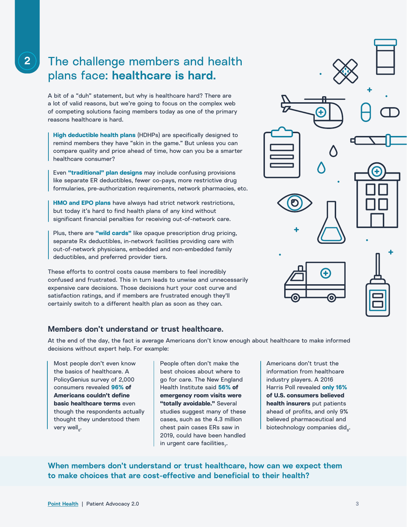### **2** The challenge members and health plans face: **healthcare is hard.**

A bit of a "duh" statement, but why is healthcare hard? There are a lot of valid reasons, but we're going to focus on the complex web of competing solutions facing members today as one of the primary reasons healthcare is hard.

**High deductible health plans** (HDHPs) are specifically designed to remind members they have "skin in the game." But unless you can compare quality and price ahead of time, how can you be a smarter healthcare consumer?

Even **"traditional" plan designs** may include confusing provisions like separate ER deductibles, fewer co-pays, more restrictive drug formularies, pre-authorization requirements, network pharmacies, etc.

**HMO and EPO plans** have always had strict network restrictions, but today it's hard to find health plans of any kind without significant financial penalties for receiving out-of-network care.

Plus, there are **"wild cards"** like opaque prescription drug pricing, separate Rx deductibles, in-network facilities providing care with out-of-network physicians, embedded and non-embedded family deductibles, and preferred provider tiers.

These efforts to control costs cause members to feel incredibly confused and frustrated. This in turn leads to unwise and unnecessarily expensive care decisions. Those decisions hurt your cost curve and satisfaction ratings, and if members are frustrated enough they'll certainly switch to a different health plan as soon as they can.

### **Members don't understand or trust healthcare.**

At the end of the day, the fact is average Americans don't know enough about healthcare to make informed decisions without expert help. For example:

Most people don't even know the basics of healthcare. A PolicyGenius survey of 2,000 consumers revealed **96% of Americans couldn't define basic healthcare terms** even though the respondents actually thought they understood them very well $_{\rm e}$ .

People often don't make the best choices about where to go for care. The New England Health Institute said **56% of emergency room visits were "totally avoidable."** Several studies suggest many of these cases, such as the 4.3 million chest pain cases ERs saw in 2019, could have been handled in urgent care facilities $_{7}$ .

Americans don't trust the information from healthcare industry players. A 2016 Harris Poll revealed **only 16% of U.S. consumers believed health insurers** put patients ahead of profits, and only 9% believed pharmaceutical and biotechnology companies did<sub>8</sub>.

**When members don't understand or trust healthcare, how can we expect them to make choices that are cost-effective and beneficial to their health?**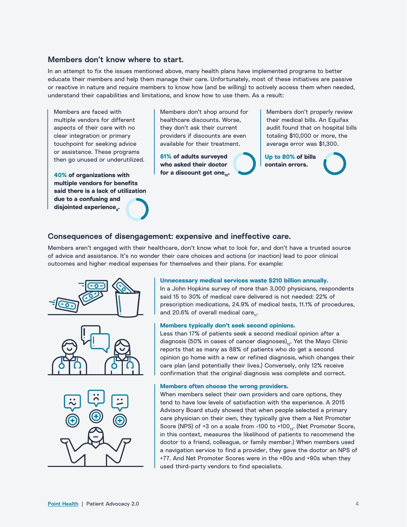### **Members don't know where to start.**

In an attempt to fix the issues mentioned above, many health plans have implemented programs to better educate their members and help them manage their care. Unfortunately, most of these initiatives are passive or reactive in nature and require members to know how (and be willing) to actively access them when needed, understand their capabilities and limitations, and know how to use them. As a result:

Members are faced with multiple vendors for different aspects of their care with no clear integration or primary touchpoint for seeking advice or assistance. These programs then go unused or underutilized.

**40% of organizations with multiple vendors for benefits said there is a lack of utilization due to a confusing and**  disjointed experience<sub>or</sub>.

Members don't shop around for healthcare discounts. Worse, they don't ask their current providers if discounts are even available for their treatment.

**61% of adults surveyed who asked their doctor**  for a discount got one<sub>10</sub>.

Members don't properly review their medical bills. An Equifax audit found that on hospital bills totaling \$10,000 or more, the average error was \$1,300.

**Up to 80% of bills contain errors.**

### **Consequences of disengagement: expensive and ineffective care.**

Members aren't engaged with their healthcare, don't know what to look for, and don't have a trusted source of advice and assistance. It's no wonder their care choices and actions (or inaction) lead to poor clinical outcomes and higher medical expenses for themselves and their plans. For example:







#### **Unnecessary medical services waste \$210 billion annually.**

In a John Hopkins survey of more than 3,000 physicians, respondents said 15 to 30% of medical care delivered is not needed: 22% of prescription medications, 24.9% of medical tests, 11.1% of procedures, and 20.6% of overall medical care...

#### **Members typically don't seek second opinions.**

Less than 17% of patients seek a second medical opinion after a diagnosis (50% in cases of cancer diagnoses) $_{12}$ . Yet the Mayo Clinic reports that as many as 88% of patients who do get a second opinion go home with a new or refined diagnosis, which changes their care plan (and potentially their lives.) Conversely, only 12% receive confirmation that the original diagnosis was complete and correct.

#### **Members often choose the wrong providers.**

When members select their own providers and care options, they tend to have low levels of satisfaction with the experience. A 2015 Advisory Board study showed that when people selected a primary care physician on their own, they typically give them a Net Promoter Score (NPS) of +3 on a scale from -100 to +100 $_{13}$ . (Net Promoter Score, in this context, measures the likelihood of patients to recommend the doctor to a friend, colleague, or family member.) When members used a navigation service to find a provider, they gave the doctor an NPS of +77. And Net Promoter Scores were in the +80s and +90s when they used third-party vendors to find specialists.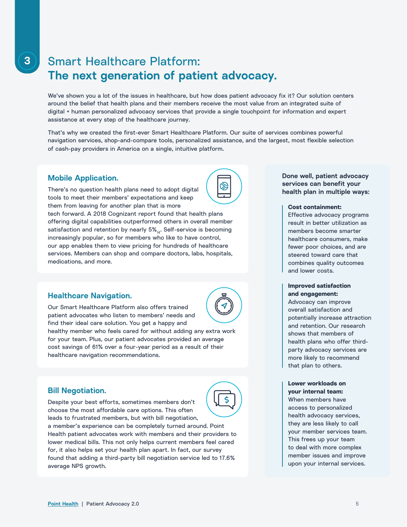### Smart Healthcare Platform: **The next generation of patient advocacy.**

We've shown you a lot of the issues in healthcare, but how does patient advocacy fix it? Our solution centers around the belief that health plans and their members receive the most value from an integrated suite of digital + human personalized advocacy services that provide a single touchpoint for information and expert assistance at every step of the healthcare journey.

That's why we created the first-ever Smart Healthcare Platform. Our suite of services combines powerful navigation services, shop-and-compare tools, personalized assistance, and the largest, most flexible selection of cash-pay providers in America on a single, intuitive platform.

### **Mobile Application.**

There's no question health plans need to adopt digital tools to meet their members' expectations and keep them from leaving for another plan that is more tech forward. A 2018 Cognizant report found that health plans offering digital capabilities outperformed others in overall member satisfaction and retention by nearly 5%... Self-service is becoming

increasingly popular, so for members who like to have control, our app enables them to view pricing for hundreds of healthcare services. Members can shop and compare doctors, labs, hospitals, medications, and more.

### **Healthcare Navigation.**

Our Smart Healthcare Platform also offers trained patient advocates who listen to members' needs and find their ideal care solution. You get a happy and healthy member who feels cared for without adding any extra work for your team. Plus, our patient advocates provided an average cost savings of 61% over a four-year period as a result of their healthcare navigation recommendations.

### **Bill Negotiation.**

Despite your best efforts, sometimes members don't choose the most affordable care options. This often leads to frustrated members, but with bill negotiation,



 $\otimes$ 

**Done well, patient advocacy services can benefit your health plan in multiple ways:**

#### **Cost containment:**

Effective advocacy programs result in better utilization as members become smarter healthcare consumers, make fewer poor choices, and are steered toward care that combines quality outcomes and lower costs.

### **Improved satisfaction and engagement:**

Advocacy can improve overall satisfaction and potentially increase attraction and retention. Our research shows that members of health plans who offer thirdparty advocacy services are more likely to recommend that plan to others.

### **Lower workloads on your internal team:**

When members have access to personalized health advocacy services, they are less likely to call your member services team. This frees up your team to deal with more complex member issues and improve upon your internal services.



 $\overline{\mathsf{S}}$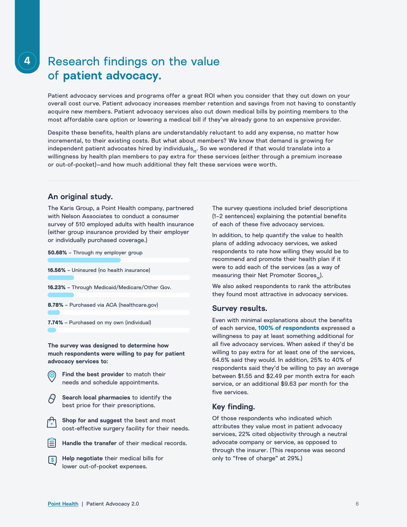### Research findings on the value of **patient advocacy.**

Patient advocacy services and programs offer a great ROI when you consider that they cut down on your overall cost curve. Patient advocacy increases member retention and savings from not having to constantly acquire new members. Patient advocacy services also cut down medical bills by pointing members to the most affordable care option or lowering a medical bill if they've already gone to an expensive provider.

Despite these benefits, health plans are understandably reluctant to add any expense, no matter how incremental, to their existing costs. But what about members? We know that demand is growing for independent patient advocates hired by individuals<sub>15</sub>. So we wondered if that would translate into a willingness by health plan members to pay extra for these services (either through a premium increase or out-of-pocket)—and how much additional they felt these services were worth.

### **An original study.**

**50.68% –** Through my employer group

The Karis Group, a Point Health company, partnered with Nelson Associates to conduct a consumer survey of 510 employed adults with health insurance (either group insurance provided by their employer or individually purchased coverage.)

| $30.08\%$ – Through my employer group                |
|------------------------------------------------------|
|                                                      |
| <b>16.56%</b> – Uninsured (no health insurance)      |
|                                                      |
| <b>16.23%</b> - Through Medicaid/Medicare/Other Gov. |
|                                                      |
| 8.78% - Purchased via ACA (healthcare.gov)           |
|                                                      |
| 7.74% - Purchased on my own (individual)             |

**The survey was designed to determine how much respondents were willing to pay for patient advocacy services to:**

- **Find the best provider** to match their needs and schedule appointments.
- **Search local pharmacies** to identify the best price for their prescriptions.
- **Shop for and suggest** the best and most cost-effective surgery facility for their needs.
- **Handle the transfer** of their medical records.
- **Help negotiate** their medical bills for I s I lower out-of-pocket expenses.

The survey questions included brief descriptions (1–2 sentences) explaining the potential benefits of each of these five advocacy services.

In addition, to help quantify the value to health plans of adding advocacy services, we asked respondents to rate how willing they would be to recommend and promote their health plan if it were to add each of the services (as a way of measuring their Net Promoter Scores...).

We also asked respondents to rank the attributes they found most attractive in advocacy services.

### **Survey results.**

Even with minimal explanations about the benefits of each service, **100% of respondents** expressed a willingness to pay at least something additional for all five advocacy services. When asked if they'd be willing to pay extra for at least one of the services, 64.6% said they would. In addition, 25% to 40% of respondents said they'd be willing to pay an average between \$1.55 and \$2.49 per month extra for each service, or an additional \$9.63 per month for the five services.

### **Key finding.**

Of those respondents who indicated which attributes they value most in patient advocacy services, 22% cited objectivity through a neutral advocate company or service, as opposed to through the insurer. (This response was second only to "free of charge" at 29%.)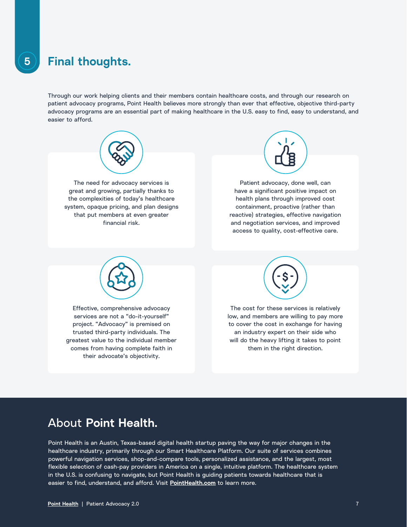### **5 Final thoughts.**

Through our work helping clients and their members contain healthcare costs, and through our research on patient advocacy programs, Point Health believes more strongly than ever that effective, objective third-party advocacy programs are an essential part of making healthcare in the U.S. easy to find, easy to understand, and easier to afford.



them in the right direction.

### About **Point Health.**

comes from having complete faith in their advocate's objectivity.

Point Health is an Austin, Texas-based digital health startup paving the way for major changes in the healthcare industry, primarily through our Smart Healthcare Platform. Our suite of services combines powerful navigation services, shop-and-compare tools, personalized assistance, and the largest, most flexible selection of cash-pay providers in America on a single, intuitive platform. The healthcare system in the U.S. is confusing to navigate, but Point Health is guiding patients towards healthcare that is easier to find, understand, and afford. Visit **[PointHealth.com](http://PointHealth.com)** to learn more.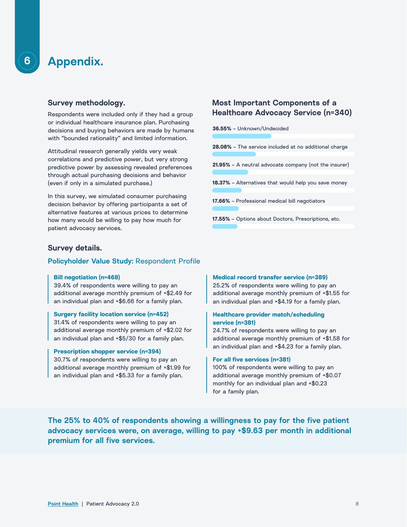**6**

### **Survey methodology.**

Respondents were included only if they had a group or individual healthcare insurance plan. Purchasing decisions and buying behaviors are made by humans with "bounded rationality" and limited information.

Attitudinal research generally yields very weak correlations and predictive power, but very strong predictive power by assessing revealed preferences through actual purchasing decisions and behavior (even if only in a simulated purchase.)

In this survey, we simulated consumer purchasing decision behavior by offering participants a set of alternative features at various prices to determine how many would be willing to pay how much for patient advocacy services.

### **Most Important Components of a Healthcare Advocacy Service (n=340)**

| 36.55% - Unknown/Undecided                                   |
|--------------------------------------------------------------|
|                                                              |
| <b>28.08%</b> – The service included at no additional charge |
|                                                              |
| 21.95% - A neutral advocate company (not the insurer)        |
|                                                              |
| <b>18.37%</b> – Alternatives that would help you save money  |
|                                                              |
| 17.66% - Professional medical bill negotiators               |
|                                                              |
| <b>17.55%</b> – Options about Doctors, Prescriptions, etc.   |

### **Survey details.**

### **Policyholder Value Study:** Respondent Profile

#### **Bill negotiation (n=468)**

39.4% of respondents were willing to pay an additional average monthly premium of +\$2.49 for an individual plan and +\$6.66 for a family plan.

### **Surgery facility location service (n=452)**

31.4% of respondents were willing to pay an additional average monthly premium of +\$2.02 for an individual plan and +\$5/30 for a family plan.

### **Prescription shopper service (n=394)**

30.7% of respondents were willing to pay an additional average monthly premium of +\$1.99 for an individual plan and +\$5.33 for a family plan.

#### **Medical record transfer service (n=389)**

25.2% of respondents were willing to pay an additional average monthly premium of +\$1.55 for an individual plan and +\$4.19 for a family plan.

### **Healthcare provider match/scheduling service (n=381)**

24.7% of respondents were willing to pay an additional average monthly premium of +\$1.58 for an individual plan and +\$4.23 for a family plan.

#### **For all five services (n=381)**

100% of respondents were willing to pay an additional average monthly premium of +\$0.07 monthly for an individual plan and +\$0.23 for a family plan.

**The 25% to 40% of respondents showing a willingness to pay for the five patient advocacy services were, on average, willing to pay +\$9.63 per month in additional premium for all five services.**